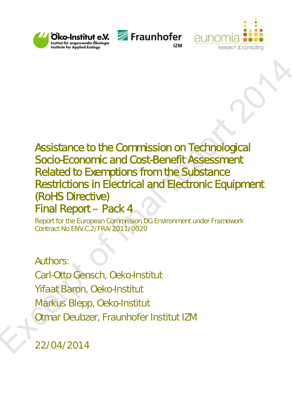





# Assistance to the Commission on Technological<br>
Socio-Economic and Cost-Benefit Assessment<br>
Related to Exemptions from the Substance<br>
Restrictions in Electrical and Electronic Equipment<br>
(RoHS Directive)<br>
Final Report – Pac Assistance to the Commission on Technological Socio-Economic and Cost-Benefit Assessment Related to Exemptions from the Substance Restrictions in Electrical and Electronic Equipment (RoHS Directive) Final Report – Pack 4

Report for the European Commission DG Environment under Framework Contract No ENV.C.2/FRA/2011/0020

Authors: Carl-Otto Gensch, Oeko-Institut Yifaat Baron, Oeko-Institut Markus Blepp, Oeko-Institut Otmar Deubzer, Fraunhofer Institut IZM

22/04/2014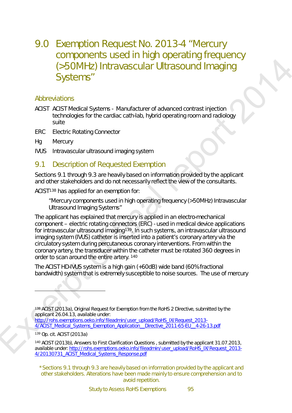# 9.0 Exemption Request No. 2013-4 "Mercury components used in high operating frequency (>50MHz) Intravascular Ultrasound Imaging Systems"

#### Abbreviations

- ACIST ACIST Medical Systems Manufacturer of advanced contrast injection technologies for the cardiac cath-lab, hybrid operating room and radiology suite
- ERC Electric Rotating Connector
- Hg Mercury
- IVUS Intravascular ultrasound imaging system

## <span id="page-1-0"></span>9.1 Description of Requested Exemption

Sections 9.1 through 9.3 are heavily based on information provided by the applicant and other stakeholders and do not necessarily reflect the view of the consultants.

ACIST138 has applied for an exemption for:

"Mercury components used in high operating frequency (>50MHz) Intravascular Ultrasound Imaging Systems"

Computer of Figure 1000 and the material report of [fin](#page-1-2)al report of the state of state of state of state of state of state of state of state of state of state of state of state of state of state of state of state of state The applicant has explained that mercury is applied in an electro-mechanical component – electric rotating connectors (ERC) - used in medical device applications for intravascular ultrasound imaging<sup>139</sup>. In such systems, an intravascular ultrasound imaging system (IVUS) catheter is inserted into a patient's coronary artery via the circulatory system during percutaneous coronary interventions. From within the coronary artery, the transducer within the catheter must be rotated 360 degrees in order to scan around the entire artery. 140

The ACIST HD-IVUS system is a high gain (+60dB) wide band (60% fractional bandwidth) system that is extremely susceptible to noise sources. The use of mercury

http://rohs.exemptions.oeko.info/fileadmin/user\_upload/RoHS\_IX/Request\_2013-4/ACIST\_Medical\_Systems\_Exemption\_Application\_\_Directive\_2011-65-EU\_\_4-26-13.pdf

<span id="page-1-2"></span><sup>139</sup> Op. cit. ACIST (2013a)

-

<span id="page-1-3"></span><sup>140</sup> ACIST (2013b), Answers to First Clarification Questions , submitted by the applicant 31.07.2013, available under: http://rohs.exemptions.oeko.info/fileadmin/user\_upload/RoHS\_IX/Request\_2013- 4/20130731\_ACIST\_Medical\_Systems\_Response.pdf

\*Sections 9.1 through 9.3 are heavily based on information provided by the applicant and other stakeholders. Alterations have been made mainly to ensure comprehension and to avoid repetition.

<span id="page-1-1"></span><sup>138</sup> ACIST (2013a), Original Request for Exemption from the RoHS 2 Directive, submitted by the applicant 26.04.13, available under: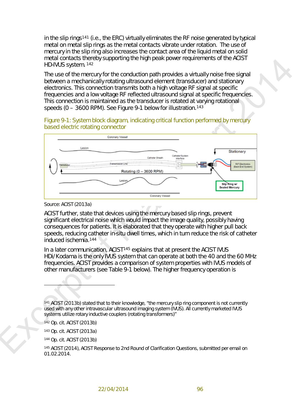in the slip rings[141](#page-2-1) (i.e., the ERC) virtually eliminates the RF noise generated by typical metal on metal slip rings as the metal contacts vibrate under rotation. The use of mercury in the slip ring also increases the contact area of the liquid metal on solid metal contacts thereby supporting the high peak power requirements of the ACIST HD-IVUS system. <sup>142</sup>

The use of the mercury for the conduction path provides a virtually noise free signal between a mechanically rotating ultrasound element (transducer) and stationary electronics. This connection transmits both a high voltage RF signal at specific frequencies and a low voltage RF reflected ultrasound signal at specific frequencies. This connection is maintained as the transducer is rotated at varying rotational speeds (0 – 3600 RPM). See Figure 9-1 below for illustration.143

<span id="page-2-0"></span>Figure 9-1: System block diagram, indicating critical function performed by mercury based electric rotating connector



*Source: ACIST (2013a)*

ACIST further, state that devices using the mercury based slip rings, prevent significant electrical noise which would impact the image quality, possibly having consequences for patients. It is elaborated that they operate with higher pull back speeds, reducing catheter in-situ dwell times, which in turn reduce the risk of catheter induced ischemia.144

In a later communication, ACIST<sup>145</sup> explains that at present the ACIST IVUS HDi/Kodama is the only IVUS system that can operate at both the 40 and the 60 MHz frequencies. ACIST provides a comparison of system properties with IVUS models of other manufacturers (see Table 9-1 below). The higher frequency operation is

 $\overline{a}$ 

<span id="page-2-4"></span><sup>144</sup> Op. cit. ACIST (2013b)

<span id="page-2-1"></span><sup>141</sup> ACIST (2013b) stated that to their knowledge, "the mercury slip ring component is not currently used with any other intravascular ultrasound imaging system (IVUS). All currently marketed IVUS systems utilize rotary inductive couplers (rotating transformers)"

<sup>142</sup> Op. cit. ACIST (2013b)

<span id="page-2-3"></span><span id="page-2-2"></span><sup>143</sup> Op. cit. ACIST (2013a)

<span id="page-2-5"></span><sup>145</sup> ACIST (2014), ACIST Response to 2nd Round of Clarification Questions, submitted per email on 01.02.2014.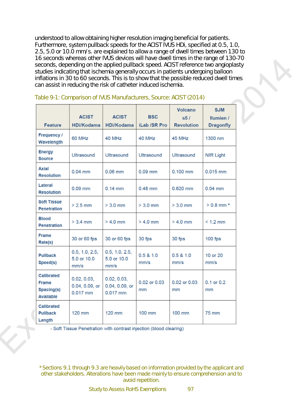understood to allow obtaining higher resolution imaging beneficial for patients. Furthermore, system pullback speeds for the ACIST IVUS HDi, specified at 0.5, 1.0, 2.5, 5.0 or 10.0 mm/s. are explained to allow a range of dwell times between 130 to 16 seconds whereas other IVUS devices will have dwell times in the range of 130-70 seconds, depending on the applied pullback speed. ACIST reference two angioplasty studies indicating that ischemia generally occurs in patients undergoing balloon inflations in 30 to 60 seconds. This is to show that the possible reduced dwell times can assist in reducing the risk of catheter induced ischemia.

|                                                              | Table 9-1: Comparison of IVUS Manufacturers, Source: ACIST (2014) |                                           |                            |                                            |                                                    |
|--------------------------------------------------------------|-------------------------------------------------------------------|-------------------------------------------|----------------------------|--------------------------------------------|----------------------------------------------------|
| Feature                                                      | <b>ACIST</b><br><b>HDi/Kodama</b>                                 | <b>ACIST</b><br><b>HDi/Kodama</b>         | <b>BSC</b><br>iLab /SR Pro | <b>Volcano</b><br>s5/<br><b>Revolution</b> | <b>SJM</b><br><b>Ilumien /</b><br><b>Dragonfly</b> |
| Frequency /<br>Wavelength                                    | 60 MHz                                                            | 40 MHz                                    | 40 MHz                     | 45 MHz                                     | 1300 nm                                            |
| <b>Energy</b><br><b>Source</b>                               | <b>Ultrasound</b>                                                 | Ultrasound                                | Ultrasound                 | Ultrasound                                 | <b>NIR Light</b>                                   |
| <b>Axial</b><br><b>Resolution</b>                            | $0.04$ mm                                                         | $0.06$ mm                                 | $0.09$ mm                  | $0.100$ mm                                 | $0.015$ mm                                         |
| Lateral<br><b>Resolution</b>                                 | $0.09$ mm                                                         | $0.14$ mm                                 | 0.48 mm                    | 0.620 mm                                   | $0.04$ mm                                          |
| <b>Soft Tissue</b><br>Penetration                            | $>2.5$ mm                                                         | $> 3.0$ mm                                | $> 3.0$ mm                 | $> 3.0$ mm                                 | $> 0.8$ mm $*$                                     |
| <b>Blood</b><br><b>Penetration</b>                           | $> 3.4$ mm                                                        | $> 4.0$ mm                                | $> 4.0$ mm                 | $> 4.0$ mm                                 | $< 1.2$ mm                                         |
| <b>Frame</b><br>Rate(s)                                      | 30 or 60 fps                                                      | 30 or 60 fps                              | 30 fps                     | 30 fps                                     | $100$ fps                                          |
| <b>Pullback</b><br>Speed(s)                                  | 0.5, 1.0, 2.5,<br>5.0 or 10.0<br>mm/s                             | 0.5, 1.0, 2.5,<br>5.0 or 10.0<br>mm/s     | 0.5 & 1.0<br>mm/s          | 0.5 & 1.0<br>mm/s                          | 10 or 20<br>mm/s                                   |
| <b>Calibrated</b><br><b>Frame</b><br>Spacing(s)<br>Available | 0.02, 0.03,<br>0.04, 0.09, or<br>0.017 mm                         | 0.02, 0.03,<br>0.04, 0.09, or<br>0.017 mm | 0.02 or 0.03<br>mm         | 0.02 or 0.03<br>mm                         | 0.1 or 0.2<br>mm                                   |
| <b>Calibrated</b><br><b>Pullback</b><br>Length               | 120 mm                                                            | 120 mm                                    | 100 mm                     | 100 mm                                     | 75 mm                                              |

#### <span id="page-3-0"></span>Table 9-1: Comparison of IVUS Manufacturers, Source: ACIST (2014)

\*Sections 9.1 through 9.3 are heavily based on information provided by the applicant and other stakeholders. Alterations have been made mainly to ensure comprehension and to avoid repetition.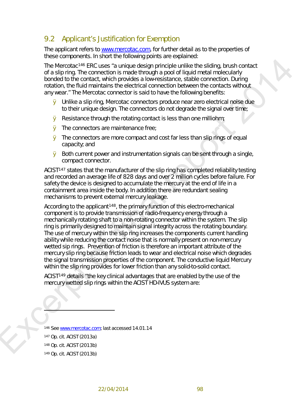# 9.2 Applicant's Justification for Exemption

The applicant refers to [www.mercotac.com,](http://www.mercotac.com/) for further detail as to the properties of these components. In short the following points are explained:

The Mercotac146 ERC uses *"a unique design principle unlike the sliding, brush contact of a slip ring. The connection is made through a pool of liquid metal molecularly bonded to the contact, which provides a low-resistance, stable connection. During rotation, the fluid maintains the electrical connection between the contacts without any wear."* The Mercotac connector is said to have the following benefits:

- Ø Unlike a slip ring, Mercotac connectors produce near zero electrical noise due to their unique design. The connectors do not degrade the signal over time;
- **Ø** Resistance through the rotating contact is less than one milliohm;
- **Ø** The connectors are maintenance free:
- Ø The connectors are more compact and cost far less than slip rings of equal capacity; and
- Ø Both current power and instrumentation signals can be sent through a single, compact connector.

ACIST147 states that the manufacturer of the slip ring has completed reliability testing and recorded an average life of 828 days and over 2 million cycles before failure. For safety the device is designed to accumulate the mercury at the end of life in a containment area inside the body. In addition there are redundant sealing mechanisms to prevent external mercury leakage.

The Montdate The Counter[p](#page-4-3)art of the state of the state of the state of the state of the state of the state of the counter of the counterpart of the control of the control of the control of the control of the control of th According to the applicant<sup>148</sup>, the primary function of this electro-mechanical component is to provide transmission of radio-frequency energy through a mechanically rotating shaft to a non-rotating connector within the system. The slip ring is primarily designed to maintain signal integrity across the rotating boundary. The use of mercury within the slip ring increases the components current handling ability while reducing the contact noise that is normally present on non-mercury wetted sip rings. Prevention of friction is therefore an important attribute of the mercury slip ring because friction leads to wear and electrical noise which degrades the signal transmission properties of the component. The conductive liquid Mercury within the slip ring provides for lower friction than any solid-to-solid contact.

ACIST149 details "the key clinical advantages that are enabled by the use of the mercury wetted slip rings within the ACIST HD-IVUS system are:

<span id="page-4-3"></span><span id="page-4-2"></span><span id="page-4-1"></span><span id="page-4-0"></span>146 See www.mercotac.com; last accessed 14.01.14 Op. cit. ACIST (2013a) Op. cit. ACIST (2013b) Op. cit. ACIST (2013b)

 $\overline{a}$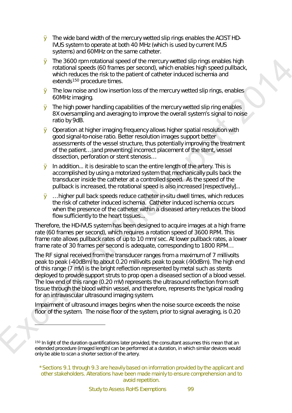- Ø *The wide band width of the mercury wetted slip rings enables the ACIST HD-IVUS system to operate at both 40 MHz (which is used by current IVUS systems) and 60MHz on the same catheter.*
- Ø *The 3600 rpm rotational speed of the mercury wetted slip rings enables high rotational speeds (60 frames per second), which enables high speed pullback, which reduces the risk to the patient of catheter induced ischemia and extends150 procedure times.*
- Ø *The low noise and low insertion loss of the mercury wetted slip rings, enables 60MHz imaging.*
- Ø *The high power handling capabilities of the mercury wetted slip ring enables 8X oversampling and averaging to improve the overall system's signal to noise ratio by 9dB.*
- Ø *Operation at higher imaging frequency allows higher spatial resolution with good signal-to-noise ratio. Better resolution images support better assessments of the vessel structure, thus potentially improving the treatment of the patient…* [and preventing] *incorrect placement of the stent, vessel dissection, perforation or stent stenosis…*
- Ø *In addition... it is desirable to scan the entire length of the artery. This is accomplished by using a motorized system that mechanically pulls back the transducer inside the catheter at a controlled speed. As the speed of the pullback is increased, the rotational speed is also increased [*respectively]*...*
- Ø *… higher pull back speeds reduce catheter in-situ dwell times, which reduces the risk of catheter induced ischemia. Catheter induced ischemia occurs when the presence of the catheter within a diseased artery reduces the blood flow sufficiently to the heart tissues...*

*Therefore, the HD-IVUS system has been designed to acquire images at a high frame rate (60 frames per second), which requires a rotation speed of 3600 RPM. This frame rate allows pullback rates of up to 10 mm/sec. At lower pullback rates, a lower frame rate of 30 frames per second is adequate, corresponding to 1800 RPM…*

**E** The 3600 rpm rotationed speed of the mercury vertets sign cines to provide the interaction and the system. The report 2014 is a property to the system of the system of the system of the system of the system of the sys *The RF signal received from the transducer ranges from a maximum of 7 millivolts peak to peak (-40dBm) to about 0.20 millivolts peak to peak (-90dBm). The high end of this range (7 mV) is the bright reflection represented by metal such as stents deployed to provide support struts to prop open a diseased section of a blood vessel. The low end of this range (0.20 mV) represents the ultrasound reflection from soft tissue through the blood within vessel, and therefore, represents the typical reading for an intravascular ultrasound imaging system.* 

*Impairment of ultrasound images begins when the noise source exceeds the noise floor of the system. The noise floor of the system, prior to signal averaging, is 0.20* 

 $\frac{1}{2}$ 

<span id="page-5-0"></span><sup>&</sup>lt;sup>150</sup> In light of the duration quantifications later provided, the consultant assumes this mean that an extended procedure (imaged length) can be performed at a duration, in which similar devices would only be able to scan a shorter section of the artery.

<sup>\*</sup>Sections 9.1 through 9.3 are heavily based on information provided by the applicant and other stakeholders. Alterations have been made mainly to ensure comprehension and to avoid repetition.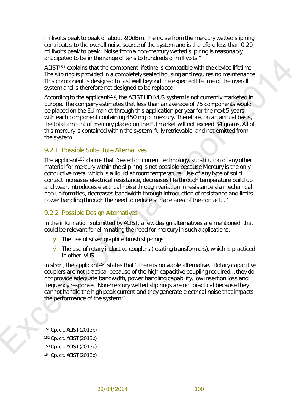*millivolts peak to peak or about -90dBm. The noise from the mercury wetted slip ring contributes to the overall noise source of the system and is therefore less than 0.20 millivolts peak to peak. Noise from a non-mercury wetted slip ring is reasonably anticipated to be in the range of tens to hundreds of millivolts."* 

ACIST<sup>151</sup> explains that the component lifetime is compatible with the device lifetime. The slip ring is provided in a completely sealed housing and requires no maintenance. This component is designed to last well beyond the expected lifetime of the overall system and is therefore not designed to be replaced.

According to the applicant<sup>152</sup>, the ACIST HD IVUS system is not currently marketed in Europe. The company estimates that less than an average of 75 components would be placed on the EU market through this application per year for the next 5 years, with each component containing 450 mg of mercury. Therefore, on an annual basis, the total amount of mercury placed on the EU market will not exceed 34 grams. All of this mercury is contained within the system, fully retrievable, and not emitted from the system.

#### 9.2.1 Possible Substitute Alternatives

and t[o](#page-6-3) the discussion of the discussion of the matter and the matter of the stress of the matter of the stress of the matter of the stress of the properties of the stress of the properties of the stress of the stress of t The applicant<sup>153</sup> claims that *"based on current technology, substitution of any other material for mercury within the slip ring is not possible because Mercury is the only conductive metal which is a liquid at room temperature. Use of any type of solid contact increases electrical resistance, decreases life through temperature build up and wear, introduces electrical noise through variation in resistance via mechanical non-uniformities, decreases bandwidth through introduction of resistance and limits power handling through the need to reduce surface area of the contact..."*

#### <span id="page-6-4"></span>9.2.2 Possible Design Alternatives

In the information submitted by ACIST, a few design alternatives are mentioned, that could be relevant for eliminating the need for mercury in such applications:

- Ø The use of silver graphite brush slip-rings
- Ø The use of rotary inductive couplers (rotating transformers), which is practiced in other IVUS.

In short, the applicant<sup>154</sup> states that "There is no viable alternative. Rotary capacitive *couplers are not practical because of the high capacitive coupling required… they do not provide adequate bandwidth, power handling capability, low insertion loss and frequency response. Non-mercury wetted slip rings are not practical because they cannot handle the high peak current and they generate electrical noise that impacts the performance of the system."*

<span id="page-6-3"></span><span id="page-6-2"></span><span id="page-6-1"></span><span id="page-6-0"></span> Op. cit. ACIST (2013b) Op. cit. ACIST (2013b) Op. cit. ACIST (2013b) Op. cit. ACIST (2013b)

 $\overline{\phantom{a}}$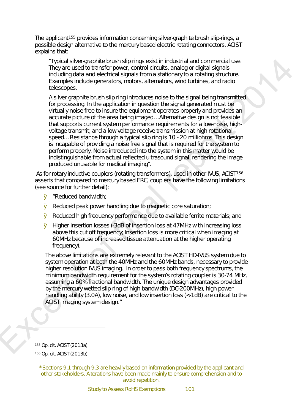The applicant<sup>[155](#page-7-0)</sup> provides information concerning silver-graphite brush slip-rings, a possible design alternative to the mercury based electric rotating connectors. ACIST explains that:

*"Typical silver-graphite brush slip rings exist in industrial and commercial use. They are used to transfer power, control circuits, analog or digital signals including data and electrical signals from a stationary to a rotating structure. Examples include generators, motors, alternators, wind turbines, and radio telescopes.* 

Typics is the groother broads by may exist in industrial and commercial use.<br>They are used to fraction state process, control criticals analog or digital signals.<br>
The pre-second data one discrete signals from a stationar *A silver graphite brush slip ring introduces noise to the signal being transmitted for processing. In the application in question the signal generated must be virtually noise free to insure the equipment operates properly and provides an accurate picture of the area being imaged… Alternative design is not feasible that supports current system performance requirements for a low-noise, highvoltage transmit, and a low-voltage receive transmission at high rotational speed… Resistance through a typical slip ring is 10 - 20 milliohms. This design is incapable of providing a noise free signal that is required for the system to perform properly. Noise introduced into the system in this matter would be indistinguishable from actual reflected ultrasound signal, rendering the image produced unusable for medical imaging".* 

As for rotary inductive couplers (rotating transformers), used in other IVUS, ACIST<sup>156</sup> asserts that compared to mercury based ERC, couplers have the following limitations (see source for further detail):

- Ø "*Reduced bandwidth;*
- Ø *Reduced peak power handling due to magnetic core saturation;*
- Ø *Reduced high frequency performance due to available ferrite materials; and*
- Ø *Higher insertion losses (-3dB of insertion loss at 47MHz with increasing loss above this cut off frequency; Insertion loss is more critical when imaging at 60MHz because of increased tissue attenuation at the higher operating frequency).*

*The above limitations are extremely relevant to the ACIST HD-IVUS system due to system operation at both the 40MHz and the 60MHz bands, necessary to provide higher resolution IVUS imaging. In order to pass both frequency spectrums, the minimum bandwidth requirement for the system's rotating coupler is 30-74 MHz, assuming a 60% fractional bandwidth. The unique design advantages provided by the mercury wetted slip ring of high bandwidth (DC-200MHz), high power handling ability (3.0A), low noise, and low insertion loss (<-1dB) are critical to the ACIST imaging system design."*

<span id="page-7-1"></span><span id="page-7-0"></span><sup>155</sup> Op. cit. ACIST (2013a) <sup>156</sup> Op. cit. ACIST (2013b)

-

\*Sections 9.1 through 9.3 are heavily based on information provided by the applicant and other stakeholders. Alterations have been made mainly to ensure comprehension and to avoid repetition.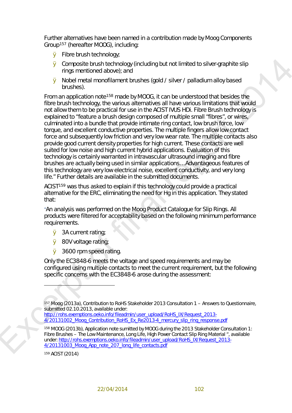Further alternatives have been named in a contribution made by Moog Components Group[157](#page-8-0) (hereafter MOOG), including:

- Ø Fibre brush technology;
- Ø Composite brush technology (including but not limited to silver-graphite slip rings mentioned above); and
- Ø Nobel metal monofilament brushes (gold / silver / palladium alloy based brushes).

**6** Composite brush rechnology (including but not limited to sliver graphite slip<br> **Ex[ce](http://rohs.exemptions.oeko.info/fileadmin/user_upload/RoHS_IX/Request_2013-4/20131002_Moog_Contribution_RoHS_Ex_Re2013-4_mercury_slip_ring_response.pdf)rpt of final report and report of the slip MCD** since the substitute of the substitute of the property of the substitute of the state From an application note158 made by MOOG, it can be understood that besides the fibre brush technology, the various alternatives all have various limitations that would not allow them to be practical for use in the ACIST IVUS HDi. Fibre Brush technology is explained to "*feature a brush design composed of multiple small "fibres", or wires, culminated into a bundle that provide intimate ring contact, low brush force, low torque, and excellent conductive properties. The multiple fingers allow low contact force and subsequently low friction and very low wear rate. The multiple contacts also provide good current density properties for high current. These contacts are well suited for low noise and high current hybrid applications. Evaluation of this technology is certainly warranted in intravascular ultrasound imaging and fibre brushes are actually being used in similar applications*… *Advantageous features of this technology are very low electrical noise, excellent conductivity, and very long life*." Further details are available in the submitted documents.

ACIST159 was thus asked to explain if this technology could provide a practical alternative for the ERC, eliminating the need for Hg in this application. They stated that:

*"An analysis was performed on the Moog Product Catalogue for Slip Rings. All products were filtered for acceptability based on the following minimum performance requirements.* 

- Ø *3A current rating;*
- Ø *80V voltage rating;*
- Ø *3600 rpm speed rating.*

*Only the EC3848-6 meets the voltage and speed requirements and may be configured using multiple contacts to meet the current requirement, but the following specific concerns with the EC3848-6 arose during the assessment:* 

http://rohs.exemptions.oeko.info/fileadmin/user\_upload/RoHS\_IX/Request\_2013-4/20131002 Moog Contribution RoHS Ex Re2013-4 mercury slip ring response.pdf

<span id="page-8-2"></span><sup>159</sup> ACIST (2014)

 $\overline{a}$ 

<span id="page-8-0"></span><sup>157</sup> Moog (2013a), Contribution to RoHS Stakeholder 2013 Consultation 1 – Answers to Questionnaire, submitted 02.10.2013, available under:

<span id="page-8-1"></span><sup>158</sup> MOOG (2013b), Application note sumitted by MOOG during the 2013 Stakeholder Consultation 1: Fibre Brushes – The Low Maintenance, Long Life, High Power Contact Slip Ring Material ", available under: http://rohs.exemptions.oeko.info/fileadmin/user\_upload/RoHS\_IX/Request\_2013-4/20131003\_Moog\_App\_note\_207\_long\_life\_contacts.pdf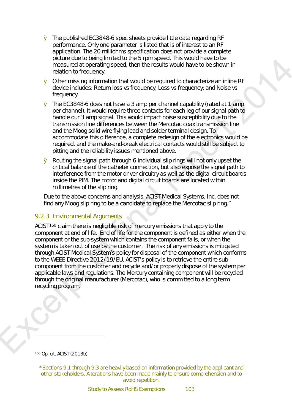- Ø *The published EC3848-6 spec sheets provide little data regarding RF performance. Only one parameter is listed that is of interest to an RF application. The 20 milliohms specification does not provide a complete picture due to being limited to the 5 rpm speed. This would have to be measured at operating speed, then the results would have to be shown in relation to frequency.*
- Ø *Other missing information that would be required to characterize an inline RF device includes: Return loss vs frequency; Loss vs frequency; and Noise vs frequency.*
- Ø *The EC3848-6 does not have a 3 amp per channel capability (rated at 1 amp per channel). It would require three contacts for each leg of our signal path to handle our 3 amp signal. This would impact noise susceptibility due to the transmission line differences between the Mercotac coax transmission line and the Moog solid wire flying lead and solder terminal design. To accommodate this difference, a complete redesign of the electronics would be required, and the make-and-break electrical contacts would still be subject to pitting and the reliability issues mentioned above.*
- Ø *Routing the signal path through 6 individual slip rings will not only upset the critical balance of the catheter connection, but also expose the signal path to interference from the motor driver circuitry as well as the digital circuit boards inside the PIM. The motor and digital circuit boards are located within millimetres of the slip ring.*

*Due to the above concerns and analysis, ACIST Medical Systems, Inc. does not find any Moog slip ring to be a candidate to replace the Mercotac slip ring."* 

#### 9.2.3 Environmental Arguments

perferre and en onegy memorial control in the significant control in the content of the content of the significant of the control in the system of the control in the system of the control in the control of the control in ACIST<sup>160</sup> claim there is negligible risk of mercury emissions that apply to the component at end of life. End of life for the component is defined as either when the component or the sub-system which contains the component fails, or when the system is taken out of use by the customer. The risk of any emissions is mitigated through ACIST Medical System's policy for disposal of the component which conforms to the WEEE Directive 2012/19/EU. ACIST's policy is to retrieve the entire subcomponent from the customer and recycle and/or properly dispose of the system per applicable laws and regulations. The Mercury containing component will be recycled through the original manufacturer (Mercotac), who is committed to a long term recycling program.

<span id="page-9-0"></span><sup>160</sup> Op. cit. ACIST (2013b)

-

<sup>\*</sup>Sections 9.1 through 9.3 are heavily based on information provided by the applicant and other stakeholders. Alterations have been made mainly to ensure comprehension and to avoid repetition.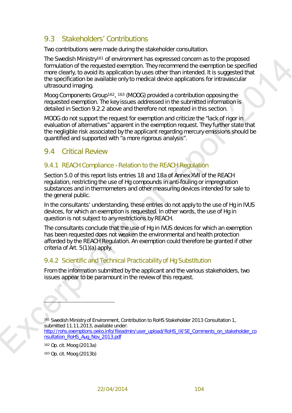# <span id="page-10-0"></span>9.3 Stakeholders' Contributions

Two contributions were made during the stakeholder consultation.

It's smoking that interaction and the superced concern as the proposed of the proposed of the method. They recommend the assembtion is specified that the proposed from the cost of the proposed of the cost of the supercept The Swedish Ministry[161](#page-10-1) of environment has expressed concern as to the proposed formulation of the requested exemption. They recommend the exemption be specified more clearly, to avoid its application by uses other than intended. It is suggested that the specification be available only to medical device applications for intravascular ultrasound imaging.

Moog Components Group<sup>162</sup>, <sup>163</sup> (MOOG) provided a contribution opposing the requested exemption. The key issues addressed in the submitted information is detailed in Section 9.2.2 above and therefore not repeated in this section.

MOOG do not support the request for exemption and criticize the *"lack of rigor in evaluation of alternatives"* apparent in the exemption request. They further state that the negligible risk associated by the applicant regarding mercury emissions should be quantified and supported with *"a more rigorous analysis"*.

### 9.4 Critical Review

#### 9.4.1 REACH Compliance - Relation to the REACH Regulation

Section 5.0 of this report lists entries 18 and 18a of Annex XVII of the REACH regulation, restricting the use of Hg compounds in anti-fouling or impregnation substances and in thermometers and other measuring devices intended for sale to the general public.

In the consultants' understanding, these entries do not apply to the use of Hg in IVUS devices, for which an exemption is requested. In other words, the use of Hg in question is not subject to any restrictions by REACH.

The consultants conclude that the use of Hg in IVUS devices for which an exemption has been requested does not weaken the environmental and health protection afforded by the REACH Regulation. An exemption could therefore be granted if other criteria of Art. 5(1)(a) apply.

#### 9.4.2 Scientific and Technical Practicability of Hg Substitution

From the information submitted by the applicant and the various stakeholders, two issues appear to be paramount in the review of this request.

<span id="page-10-1"></span><sup>161</sup> Swedish Ministry of Environment, Contribution to RoHS Stakeholder 2013 Consultation 1, submitted 11.11.2013, available under: http://rohs.exemptions.oeko.info/fileadmin/user\_upload/RoHS\_IX/SE\_Comments\_on\_stakeholder\_co

nsultation\_RoHS\_Aug\_Nov\_2013.pdf

<sup>162</sup> Op. cit. Moog (2013a)

 $\overline{a}$ 

<span id="page-10-3"></span><span id="page-10-2"></span><sup>163</sup> Op. cit. Moog (2013b)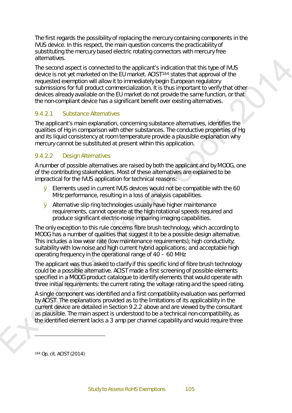The first regards the possibility of replacing the mercury containing components in the IVUS device. In this respect, the main question concerns the practicability of substituting the mercury based electric rotating connectors with mercury free alternatives.

are marked strengthents in the applicants initiation that this type of MVIS<br>device is not genetal are more to the member. ACSI<sup>5</sup><sup>1</sup><sup>2</sup> statis that approximate the<br>requested of the CMIS requested are more to the member. AC The second aspect is connected to the applicant's indication that this type of IVUS device is not yet marketed on the EU market. ACIST164 states that approval of the requested exemption will allow it to immediately begin European regulatory submissions for full product commercialization. It is thus important to verify that other devices already available on the EU market do not provide the same function, or that the non-compliant device has a significant benefit over existing alternatives.

#### 9.4.2.1 Substance Alternatives

The applicant's main explanation, concerning substance alternatives, identifies the qualities of Hg in comparison with other substances. The conductive properties of Hg and its liquid consistency at room temperature provide a plausible explanation why mercury cannot be substituted at present within this application.

#### <span id="page-11-1"></span>9.4.2.2 Design Alternatives

A number of possible alternatives are raised by both the applicant and by MOOG, one of the contributing stakeholders. Most of these alternatives are explained to be impractical for the IVUS application for technical reasons:

- Ø Elements used in current IVUS devices would not be compatible with the 60 MHz performance, resulting in a loss of analysis capabilities.
- Ø Alternative slip ring technologies usually have higher maintenance requirements, cannot operate at the high rotational speeds required and produce significant electric-noise impairing imaging capabilities.

The only exception to this rule concerns fibre brush technology, which according to MOOG has a number of qualities that suggest it to be a possible design alternative. This includes a low wear rate (low maintenance requirements); high conductivity; suitability with low noise and high current hybrid applications; and acceptable high operating frequency in the operational range of 40 – 60 MHz

The applicant was thus asked to clarify if this specific kind of fibre brush technology could be a possible alternative. ACIST made a first screening of possible elements specified in a MOOG product catalogue to identify elements that would operate with three initial requirements: the current rating; the voltage rating and the speed rating.

A single component was identified and a first compatibility evaluation was performed by ACIST. The explanations provided as to the limitations of its applicability in the current device are detailed in Section 9.2.2 above and are viewed by the consultant as plausible. The main aspect is understood to be a technical non-compatibility, as the identified element lacks a 3 amp per channel capability and would require three

<span id="page-11-0"></span><sup>164</sup> Op. cit. ACIST (2014)

-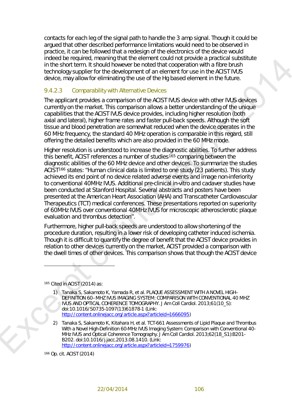contacts for each leg of the signal path to handle the 3 amp signal. Though it could be argued that other described performance limitations would need to be observed in practice, it can be followed that a redesign of the electronics of the device would indeed be required, meaning that the element could not provide a practical substitute in the short term. It should however be noted that cooperation with a fibre brush technology supplier for the development of an element for use in the ACIST IVUS device, may allow for eliminating the use of the Hg based element in the future.

#### 9.4.2.3 Comparability with Alternative Devices

The applicant provides a comparison of the ACIST IVUS device with other IVUS devices currently on the market. This comparison allows a better understanding of the unique capabilities that the ACIST IVUS device provides, including higher resolution (both axial and lateral), higher frame rates and faster pull-back speeds. Although the soft tissue and blood penetration are somewhat reduced when the device operates in the 60 MHz frequency, the standard 40 MHz operation is comparable in this regard, still offering the detailed benefits which are also provided in the 60 MHz mode.

Ind[e](http://content.onlinejacc.org/article.aspx?articleid=1666095)ed De realities in metalling is the Bellematical GMP (process a practical suspective<br>transformation of the state of the matrix of the state of the state of the state of the state of the state of the state of the state Higher resolution is understood to increase the diagnostic abilities. To further address this benefit, ACIST references a number of studies<sup>165</sup> comparing between the diagnostic abilities of the 60 MHz device and other devices. To summarize the studies ACIST166 states: "*Human clinical data is limited to one study (23 patients). This study achieved its end point of no device related adverse events and image non-inferiority to conventional 40MHz IVUS. Additional pre-clinical in-vitro and cadaver studies have been conducted at Stanford Hospital. Several abstracts and posters have been presented at the American Heart Association (AHA) and Transcatheter Cardiovascular Therapeutics (TCT) medical conferences. These presentations reported on superiority of 60MHz IVUS over conventional 40MHz IVUS for microscopic atherosclerotic plaque evaluation and thrombus detection*".

Furthermore, higher pull-back speeds are understood to allow shortening of the procedure duration, resulting in a lower risk of developing catheter induced ischemia. Though it is difficult to quantify the degree of benefit that the ACIST device provides in relation to other devices currently on the market, ACIST provided a comparison with the dwell times of other devices. This comparison shows that though the ACIST device

<span id="page-12-0"></span><sup>165</sup> Cited in ACIST (2014) as:

 $\overline{a}$ 

- 1) Tanaka S, Sakamoto K, Yamada R, et al. PLAQUE ASSESSMENT WITH A NOVEL HIGH– DEFINITION 60–MHZ IVUS IMAGING SYSTEM: COMPARISON WITH CONVENTIONAL 40 MHZ IVUS AND OPTICAL COHERENCE TOMOGRAPHY. *J Am Coll Cardiol.* 2013;61(10\_S): doi:10.1016/S0735-1097(13)61878-1 (Link: http://content.onlinejacc.org/article.aspx?articleid=1666095)
- 2) Tanaka S, Sakamoto K, Kitahara H, et al. TCT-661 Assessments of Lipid Plaque and Thrombus With a Novel High-Definition 60-MHz IVUS Imaging System: Comparison with Conventional 40- MHz IVUS and Optical Coherence Tomography. *J Am Coll Cardiol.* 2013;62(18\_S1):B201- B202. doi:10.1016/j.jacc.2013.08.1410. (Link: http://content.onlinejacc.org/article.aspx?articleid=1759976)

<span id="page-12-1"></span><sup>166</sup> Op. cit. ACIST (2014)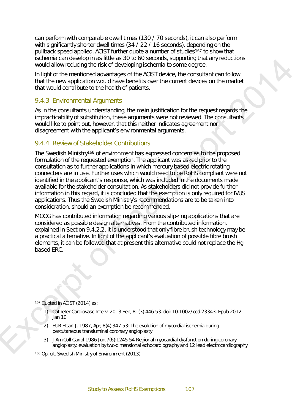can perform with comparable dwell times (130 / 70 seconds), it can also perform with significantly shorter dwell times (34 / 22 / 16 seconds), depending on the pullback speed applied. ACIST further quote a number of studies[167](#page-13-0) to show that ischemia can develop in as little as 30 to 60 seconds, supporting that any reductions would allow reducing the risk of developing ischemia to some degree.

In light of the mentioned advantages of the ACIST device, the consultant can follow that the new application would have benefits over the current devices on the market that would contribute to the health of patients.

#### 9.4.3 Environmental Arguments

As in the consultants understanding, the main justification for the request regards the impracticability of substitution, these arguments were not reviewed. The consultants would like to point out, however, that this neither indicates agreement nor disagreement with the applicant's environmental arguments.

#### 9.4.4 Review of Stakeholder Contributions

Excellent to meet the state o[f](#page-11-1) the state of the state of the state of the state of the state of the state of the state of the state of the state of the state of the state of the state of the state of the state of the stat The Swedish Ministry168 of environment has expressed concern as to the proposed formulation of the requested exemption. The applicant was asked prior to the consultation as to further applications in which mercury based electric rotating connecters are in use. Further uses which would need to be RoHS compliant were not identified in the applicant's response, which was included in the documents made available for the stakeholder consultation. As stakeholders did not provide further information in this regard, it is concluded that the exemption is only required for IVUS applications. Thus the Swedish Ministry's recommendations are to be taken into consideration, should an exemption be recommended.

MOOG has contributed information regarding various slip-ring applications that are considered as possible design alternatives. From the contributed information, explained in Section 9.4.2.2, it is understood that only fibre brush technology may be a practical alternative. In light of the applicant's evaluation of possible fibre brush elements, it can be followed that at present this alternative could not replace the Hg based ERC.

<span id="page-13-0"></span><sup>167</sup> Quoted in ACIST (2014) as:

-

- 1) Catheter Cardiovasc Interv. 2013 Feb; 81(3):446-53. doi: 10.1002/ccd.23343. Epub 2012 Jan 10
- 2) EUR Heart J. 1987, Apr; 8(4):347-53: The evolution of mycordial ischemia during percutaneous transluminal coronary angioplasty
- 3) J Am Coll Cariol 1986 Jun;7(6):1245-54 Regional myocardial dysfunction during coronary angioplasty: evaluation by two-dimensional echocardiography and 12 lead electrocardiography

<span id="page-13-1"></span><sup>168</sup> Op. cit. Swedish Ministry of Environment (2013)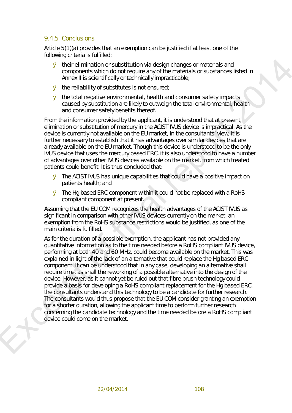#### 9.4.5 Conclusions

Article 5(1)(a) provides that an exemption can be justified if at least one of the following criteria is fulfilled:

- Ø their elimination or substitution via design changes or materials and components which do not require any of the materials or substances listed in Annex II is scientifically or technically impracticable;
- Ø the reliability of substitutes is not ensured;
- Ø the total negative environmental, health and consumer safety impacts caused by substitution are likely to outweigh the total environmental, health and consumer safety benefits thereof.

From the information provided by the applicant, it is understood that at present, elimination or substitution of mercury in the ACIST IVUS device is impractical. As the device is currently not available on the EU market, in the consultants' view, it is further necessary to establish that it has advantages over similar devices that are already available on the EU market. Though this device is understood to be the only IVUS device that uses the mercury based ERC, it is also understood to have a number of advantages over other IVUS devices available on the market, from which treated patients could benefit. It is thus concluded that:

- Ø The ACIST IVUS has unique capabilities that could have a positive impact on patients health; and
- Ø The Hg based ERC component within it could not be replaced with a RoHS compliant component at present.

Assuming that the EU COM recognizes the health advantages of the ACIST IVUS as significant in comparison with other IVUS devices currently on the market, an exemption from the RoHS substance restrictions would be justified, as one of the main criteria is fulfilled.

**6** the internal reader with the design changes or materials and states of substances schedule components with the material report of substances itseld in America it is solerationly or tochically inpracticable<br> **8** the re As for the duration of a possible exemption, the applicant has not provided any quantitative information as to the time needed before a RoHS compliant IVUS device, performing at both 40 and 60 MHz, could become available on the market. This was explained in light of the lack of an alternative that could replace the Hg based ERC component. It can be understood that in any case, developing an alternative shall require time, as shall the reworking of a possible alternative into the design of the device. However, as it cannot yet be ruled out that fibre brush technology could provide a basis for developing a RoHS compliant replacement for the Hg based ERC, the consultants understand this technology to be a candidate for further research. The consultants would thus propose that the EU COM consider granting an exemption for a shorter duration, allowing the applicant time to perform further research concerning the candidate technology and the time needed before a RoHS compliant device could come on the market.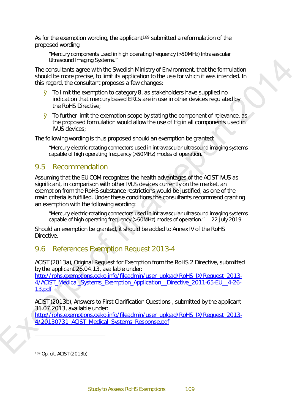As for the exemption wording, the applicant<sup>169</sup> submitted a reformulation of the proposed wording:

*"Mercury components used in high operating frequency (>50MHz) Intravascular Ultrasound Imaging Systems."*

The consultants agree with the Swedish Ministry of Environment, that the formulation should be more precise, to limit its application to the use for which it was intended. In this regard, the consultant proposes a few changes:

- Ø To limit the exemption to category 8, as stakeholders have supplied no indication that mercury based ERCs are in use in other devices regulated by the RoHS Directive;
- Ø To further limit the exemption scope by stating the component of relevance, as the proposed formulation would allow the use of Hg in all components used in IVUS devices;

The following wording is thus proposed should an exemption be granted:

*"Mercury electric-rotating connectors used in intravascular ultrasound imaging systems capable of high operating frequency (>50MHz) modes of operation."*

#### 9.5 Recommendation

Universide through Systems<br>
The consistent stage of this behavior System Ministry of Environment, that the formulation<br>
should be more greates, to limit this application to the use for which it was intended in<br>
this eigen Assuming that the EU COM recognizes the health advantages of the ACIST IVUS as significant, in comparison with other IVUS devices currently on the market, an exemption from the RoHS substance restrictions would be justified, as one of the main criteria is fulfilled. Under these conditions the consultants recommend granting an exemption with the following wording:

*"Mercury electric-rotating connectors used in intravascular ultrasound imaging systems capable of high operating frequency (>50MHz) modes of operation." 22 July 2019*

Should an exemption be granted, it should be added to Annex IV of the RoHS Directive.

# 9.6 References Exemption Request 2013-4

ACIST (2013a), Original Request for Exemption from the RoHS 2 Directive, submitted by the applicant 26.04.13, available under:

http://rohs.exemptions.oeko.info/fileadmin/user\_upload/RoHS\_IX/Request\_2013-4/ACIST\_Medical\_Systems\_Exemption\_Application\_\_Directive\_2011-65-EU\_\_4-26- 13.pdf

ACIST (2013b), Answers to First Clarification Questions , submitted by the applicant 31.07.2013, available under:

http://rohs.exemptions.oeko.info/fileadmin/user\_upload/RoHS\_IX/Request\_2013-4/20130731\_ACIST\_Medical\_Systems\_Response.pdf

<span id="page-15-0"></span><sup>169</sup> Op. cit. ACIST (2013b)

-